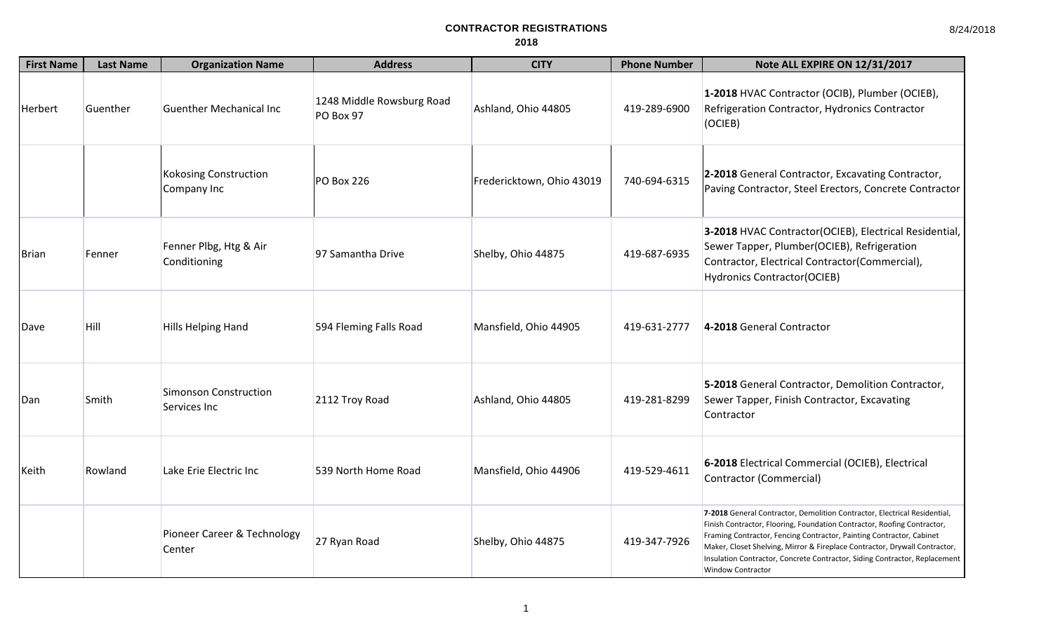| <b>First Name</b> | <b>Last Name</b> | <b>Organization Name</b>               | <b>Address</b>                         | <b>CITY</b>               | <b>Phone Number</b> | Note ALL EXPIRE ON 12/31/2017                                                                                                                                                                                                                                                                                                                                                                                        |
|-------------------|------------------|----------------------------------------|----------------------------------------|---------------------------|---------------------|----------------------------------------------------------------------------------------------------------------------------------------------------------------------------------------------------------------------------------------------------------------------------------------------------------------------------------------------------------------------------------------------------------------------|
| Herbert           | Guenther         | <b>Guenther Mechanical Inc.</b>        | 1248 Middle Rowsburg Road<br>PO Box 97 | Ashland, Ohio 44805       | 419-289-6900        | 1-2018 HVAC Contractor (OCIB), Plumber (OCIEB),<br>Refrigeration Contractor, Hydronics Contractor<br>(OCIEB)                                                                                                                                                                                                                                                                                                         |
|                   |                  | Kokosing Construction<br>Company Inc   | <b>PO Box 226</b>                      | Fredericktown, Ohio 43019 | 740-694-6315        | 2-2018 General Contractor, Excavating Contractor,<br>Paving Contractor, Steel Erectors, Concrete Contractor                                                                                                                                                                                                                                                                                                          |
| <b>I</b> Brian    | Fenner           | Fenner Plbg, Htg & Air<br>Conditioning | 97 Samantha Drive                      | Shelby, Ohio 44875        | 419-687-6935        | 3-2018 HVAC Contractor(OCIEB), Electrical Residential,<br>Sewer Tapper, Plumber(OCIEB), Refrigeration<br>Contractor, Electrical Contractor(Commercial),<br><b>Hydronics Contractor(OCIEB)</b>                                                                                                                                                                                                                        |
| Dave              | Hill             | <b>Hills Helping Hand</b>              | 594 Fleming Falls Road                 | Mansfield, Ohio 44905     | 419-631-2777        | 4-2018 General Contractor                                                                                                                                                                                                                                                                                                                                                                                            |
| Dan               | Smith            | Simonson Construction<br>Services Inc  | 2112 Troy Road                         | Ashland, Ohio 44805       | 419-281-8299        | 5-2018 General Contractor, Demolition Contractor,<br>Sewer Tapper, Finish Contractor, Excavating<br>Contractor                                                                                                                                                                                                                                                                                                       |
| Keith             | Rowland          | Lake Erie Electric Inc                 | 539 North Home Road                    | Mansfield, Ohio 44906     | 419-529-4611        | 6-2018 Electrical Commercial (OCIEB), Electrical<br>Contractor (Commercial)                                                                                                                                                                                                                                                                                                                                          |
|                   |                  | Pioneer Career & Technology<br>Center  | 27 Ryan Road                           | Shelby, Ohio 44875        | 419-347-7926        | 7-2018 General Contractor, Demolition Contractor, Electrical Residential,<br>Finish Contractor, Flooring, Foundation Contractor, Roofing Contractor,<br>Framing Contractor, Fencing Contractor, Painting Contractor, Cabinet<br>Maker, Closet Shelving, Mirror & Fireplace Contractor, Drywall Contractor,<br>Insulation Contractor, Concrete Contractor, Siding Contractor, Replacement<br><b>Window Contractor</b> |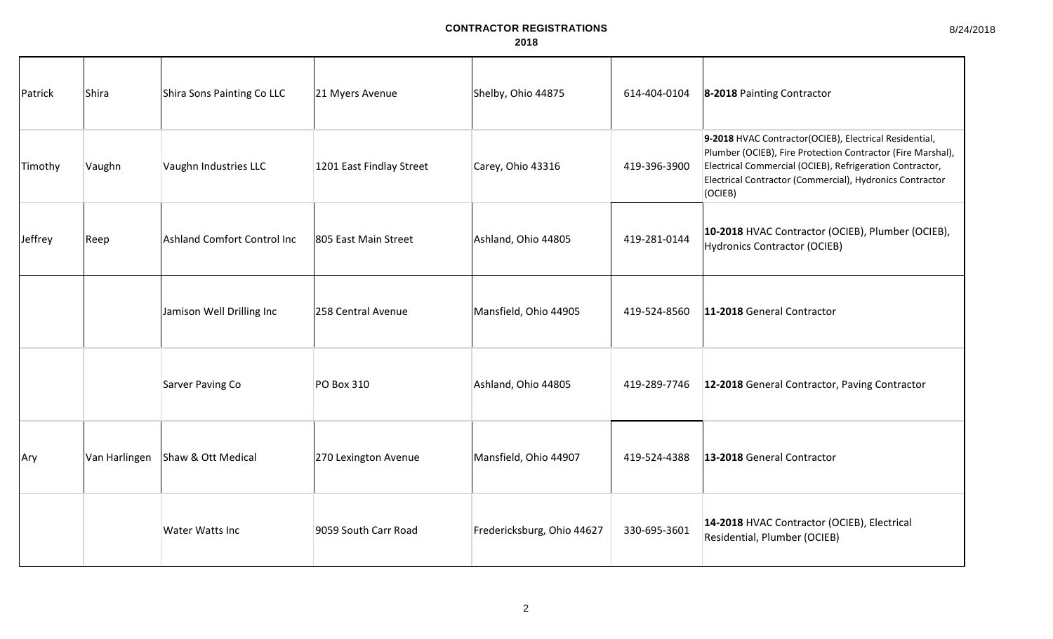| Patrick | Shira         | Shira Sons Painting Co LLC  | 21 Myers Avenue          | Shelby, Ohio 44875         | 614-404-0104 | 8-2018 Painting Contractor                                                                                                                                                                                                                               |
|---------|---------------|-----------------------------|--------------------------|----------------------------|--------------|----------------------------------------------------------------------------------------------------------------------------------------------------------------------------------------------------------------------------------------------------------|
| Timothy | Vaughn        | Vaughn Industries LLC       | 1201 East Findlay Street | Carey, Ohio 43316          | 419-396-3900 | 9-2018 HVAC Contractor(OCIEB), Electrical Residential,<br>Plumber (OCIEB), Fire Protection Contractor (Fire Marshal),<br>Electrical Commercial (OCIEB), Refrigeration Contractor,<br>Electrical Contractor (Commercial), Hydronics Contractor<br>(OCIEB) |
| Jeffrey | Reep          | Ashland Comfort Control Inc | 805 East Main Street     | Ashland, Ohio 44805        | 419-281-0144 | 10-2018 HVAC Contractor (OCIEB), Plumber (OCIEB),<br><b>Hydronics Contractor (OCIEB)</b>                                                                                                                                                                 |
|         |               | Jamison Well Drilling Inc   | 258 Central Avenue       | Mansfield, Ohio 44905      | 419-524-8560 | 11-2018 General Contractor                                                                                                                                                                                                                               |
|         |               | Sarver Paving Co            | <b>PO Box 310</b>        | Ashland, Ohio 44805        | 419-289-7746 | 12-2018 General Contractor, Paving Contractor                                                                                                                                                                                                            |
| Ary     | Van Harlingen | Shaw & Ott Medical          | 270 Lexington Avenue     | Mansfield, Ohio 44907      | 419-524-4388 | 13-2018 General Contractor                                                                                                                                                                                                                               |
|         |               | <b>Water Watts Inc</b>      | 9059 South Carr Road     | Fredericksburg, Ohio 44627 | 330-695-3601 | 14-2018 HVAC Contractor (OCIEB), Electrical<br>Residential, Plumber (OCIEB)                                                                                                                                                                              |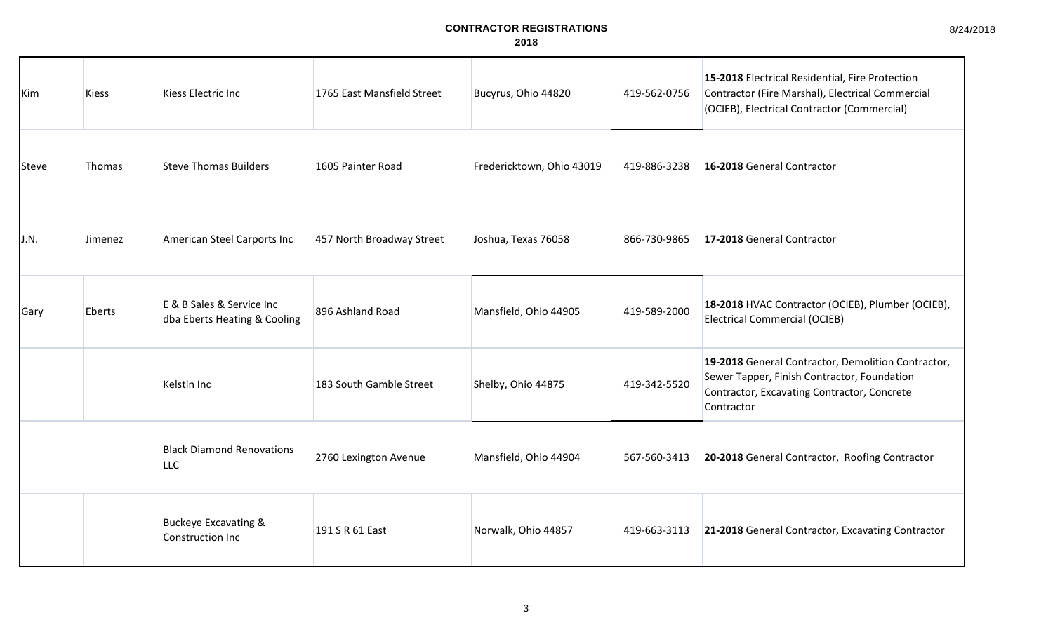8/24/2018

| Kim   | <b>Kiess</b> | Kiess Electric Inc                                        | 1765 East Mansfield Street | Bucyrus, Ohio 44820       | 419-562-0756 | 15-2018 Electrical Residential, Fire Protection<br>Contractor (Fire Marshal), Electrical Commercial<br>(OCIEB), Electrical Contractor (Commercial)             |
|-------|--------------|-----------------------------------------------------------|----------------------------|---------------------------|--------------|----------------------------------------------------------------------------------------------------------------------------------------------------------------|
| Steve | Thomas       | Steve Thomas Builders                                     | 1605 Painter Road          | Fredericktown, Ohio 43019 | 419-886-3238 | 16-2018 General Contractor                                                                                                                                     |
| J.N.  | Jimenez      | American Steel Carports Inc                               | 457 North Broadway Street  | Joshua, Texas 76058       | 866-730-9865 | 17-2018 General Contractor                                                                                                                                     |
| Gary  | Eberts       | E & B Sales & Service Inc<br>dba Eberts Heating & Cooling | 896 Ashland Road           | Mansfield, Ohio 44905     | 419-589-2000 | 18-2018 HVAC Contractor (OCIEB), Plumber (OCIEB),<br><b>Electrical Commercial (OCIEB)</b>                                                                      |
|       |              | Kelstin Inc                                               | 183 South Gamble Street    | Shelby, Ohio 44875        | 419-342-5520 | 19-2018 General Contractor, Demolition Contractor,<br>Sewer Tapper, Finish Contractor, Foundation<br>Contractor, Excavating Contractor, Concrete<br>Contractor |
|       |              | <b>Black Diamond Renovations</b><br><b>LLC</b>            | 2760 Lexington Avenue      | Mansfield, Ohio 44904     | 567-560-3413 | 20-2018 General Contractor, Roofing Contractor                                                                                                                 |
|       |              | <b>Buckeye Excavating &amp;</b><br>Construction Inc       | 191 S R 61 East            | Norwalk, Ohio 44857       | 419-663-3113 | 21-2018 General Contractor, Excavating Contractor                                                                                                              |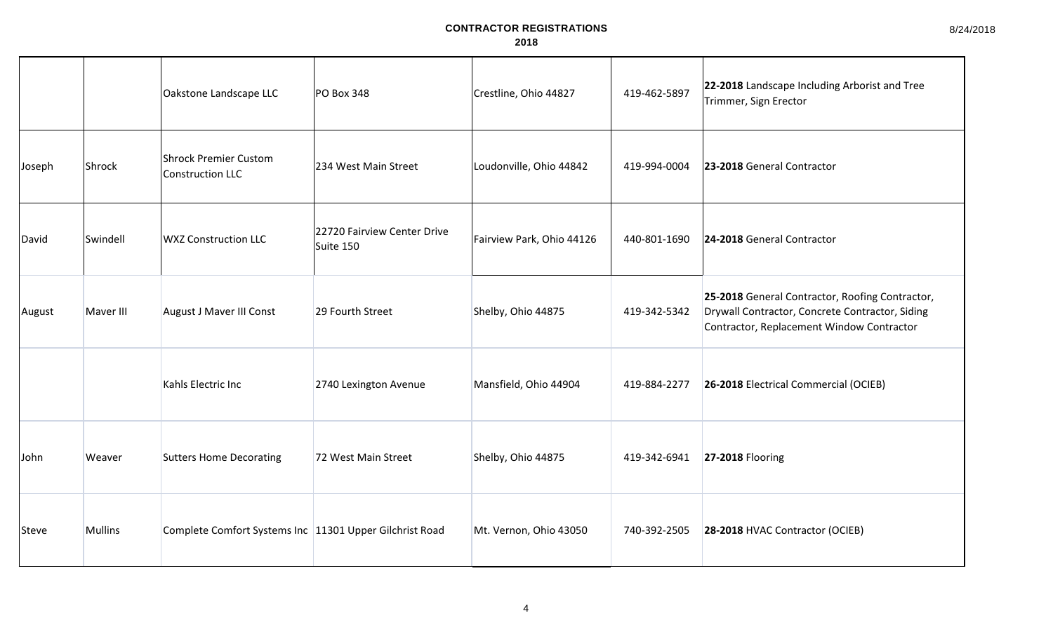|        |                | Oakstone Landscape LLC                                    | <b>PO Box 348</b>                        | Crestline, Ohio 44827     | 419-462-5897 | 22-2018 Landscape Including Arborist and Tree<br>Trimmer, Sign Erector                                                                          |
|--------|----------------|-----------------------------------------------------------|------------------------------------------|---------------------------|--------------|-------------------------------------------------------------------------------------------------------------------------------------------------|
| Joseph | Shrock         | <b>Shrock Premier Custom</b><br>Construction LLC          | 234 West Main Street                     | Loudonville, Ohio 44842   | 419-994-0004 | 23-2018 General Contractor                                                                                                                      |
| David  | Swindell       | <b>WXZ Construction LLC</b>                               | 22720 Fairview Center Drive<br>Suite 150 | Fairview Park, Ohio 44126 | 440-801-1690 | 24-2018 General Contractor                                                                                                                      |
| August | Maver III      | August J Maver III Const                                  | 29 Fourth Street                         | Shelby, Ohio 44875        | 419-342-5342 | 25-2018 General Contractor, Roofing Contractor,<br>Drywall Contractor, Concrete Contractor, Siding<br>Contractor, Replacement Window Contractor |
|        |                | Kahls Electric Inc                                        | 2740 Lexington Avenue                    | Mansfield, Ohio 44904     | 419-884-2277 | 26-2018 Electrical Commercial (OCIEB)                                                                                                           |
| John   | Weaver         | <b>Sutters Home Decorating</b>                            | 72 West Main Street                      | Shelby, Ohio 44875        | 419-342-6941 | <b>27-2018 Flooring</b>                                                                                                                         |
| Steve  | <b>Mullins</b> | Complete Comfort Systems Inc   11301 Upper Gilchrist Road |                                          | Mt. Vernon, Ohio 43050    | 740-392-2505 | 28-2018 HVAC Contractor (OCIEB)                                                                                                                 |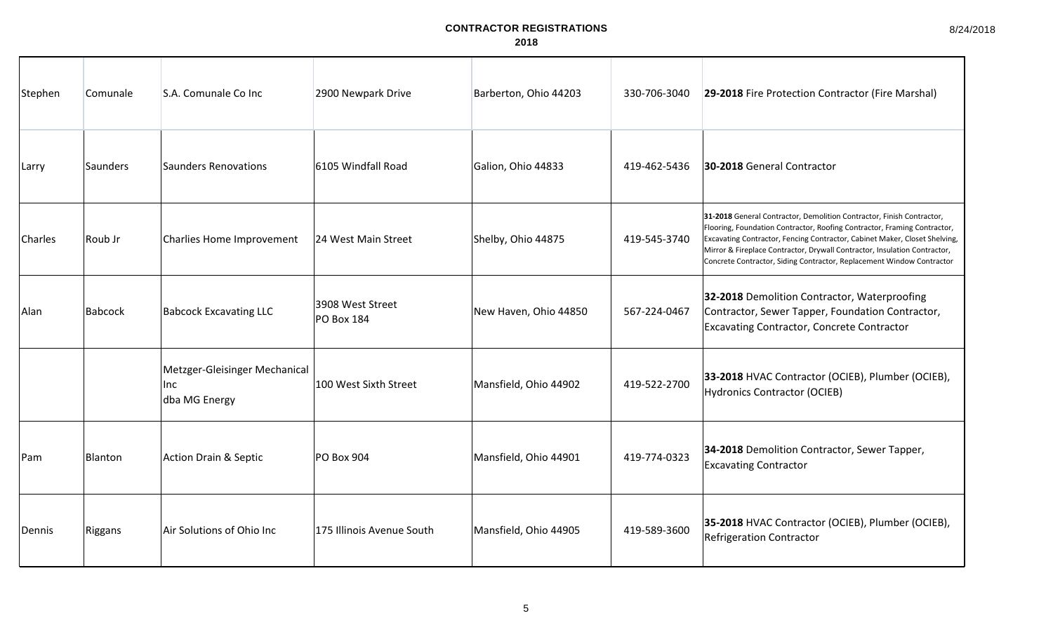| Stephen | Comunale       | S.A. Comunale Co Inc                                  | 2900 Newpark Drive                    | Barberton, Ohio 44203 | 330-706-3040 | 29-2018 Fire Protection Contractor (Fire Marshal)                                                                                                                                                                                                                                                                                                                                     |
|---------|----------------|-------------------------------------------------------|---------------------------------------|-----------------------|--------------|---------------------------------------------------------------------------------------------------------------------------------------------------------------------------------------------------------------------------------------------------------------------------------------------------------------------------------------------------------------------------------------|
| Larry   | Saunders       | <b>Saunders Renovations</b>                           | 6105 Windfall Road                    | Galion, Ohio 44833    | 419-462-5436 | 30-2018 General Contractor                                                                                                                                                                                                                                                                                                                                                            |
| Charles | Roub Jr        | Charlies Home Improvement                             | 24 West Main Street                   | Shelby, Ohio 44875    | 419-545-3740 | 31-2018 General Contractor, Demolition Contractor, Finish Contractor,<br>Flooring, Foundation Contractor, Roofing Contractor, Framing Contractor,<br>Excavating Contractor, Fencing Contractor, Cabinet Maker, Closet Shelving,<br>Mirror & Fireplace Contractor, Drywall Contractor, Insulation Contractor,<br>Concrete Contractor, Siding Contractor, Replacement Window Contractor |
| Alan    | <b>Babcock</b> | <b>Babcock Excavating LLC</b>                         | 3908 West Street<br><b>PO Box 184</b> | New Haven, Ohio 44850 | 567-224-0467 | 32-2018 Demolition Contractor, Waterproofing<br>Contractor, Sewer Tapper, Foundation Contractor,<br><b>Excavating Contractor, Concrete Contractor</b>                                                                                                                                                                                                                                 |
|         |                | Metzger-Gleisinger Mechanical<br>Inc<br>dba MG Energy | 100 West Sixth Street                 | Mansfield, Ohio 44902 | 419-522-2700 | 33-2018 HVAC Contractor (OCIEB), Plumber (OCIEB),<br><b>Hydronics Contractor (OCIEB)</b>                                                                                                                                                                                                                                                                                              |
| Pam     | Blanton        | <b>Action Drain &amp; Septic</b>                      | <b>PO Box 904</b>                     | Mansfield, Ohio 44901 | 419-774-0323 | 34-2018 Demolition Contractor, Sewer Tapper,<br><b>Excavating Contractor</b>                                                                                                                                                                                                                                                                                                          |
| Dennis  | Riggans        | Air Solutions of Ohio Inc                             | 175 Illinois Avenue South             | Mansfield, Ohio 44905 | 419-589-3600 | 35-2018 HVAC Contractor (OCIEB), Plumber (OCIEB),<br><b>Refrigeration Contractor</b>                                                                                                                                                                                                                                                                                                  |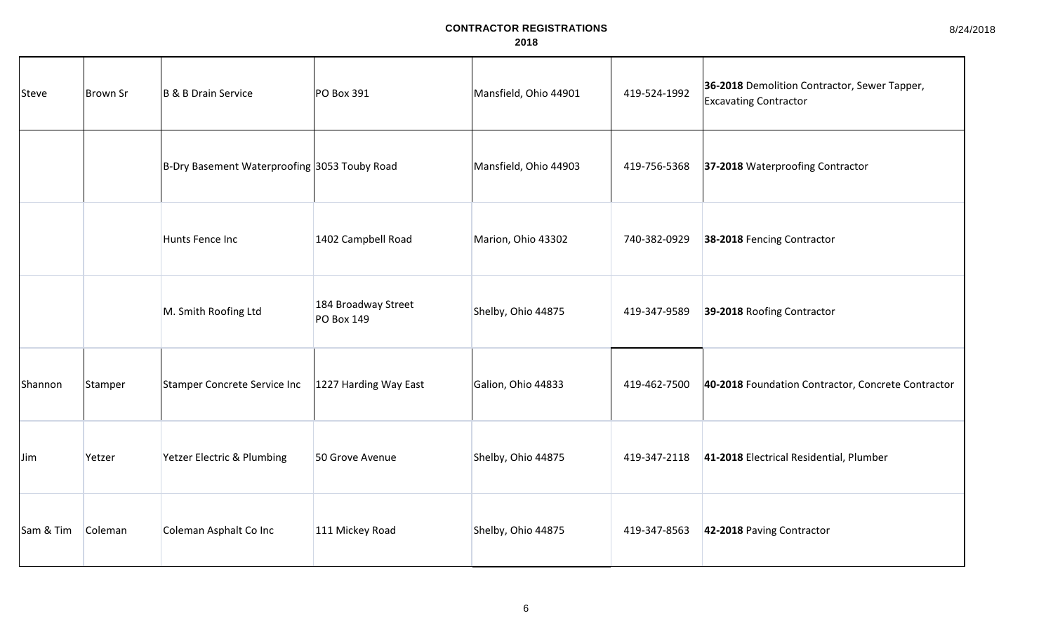| Steve      | Brown Sr | B & B Drain Service                          | PO Box 391                               | Mansfield, Ohio 44901 | 419-524-1992 | 36-2018 Demolition Contractor, Sewer Tapper,<br><b>Excavating Contractor</b> |
|------------|----------|----------------------------------------------|------------------------------------------|-----------------------|--------------|------------------------------------------------------------------------------|
|            |          | B-Dry Basement Waterproofing 3053 Touby Road |                                          | Mansfield, Ohio 44903 | 419-756-5368 | 37-2018 Waterproofing Contractor                                             |
|            |          | Hunts Fence Inc                              | 1402 Campbell Road                       | Marion, Ohio 43302    | 740-382-0929 | 38-2018 Fencing Contractor                                                   |
|            |          | M. Smith Roofing Ltd                         | 184 Broadway Street<br><b>PO Box 149</b> | Shelby, Ohio 44875    | 419-347-9589 | 39-2018 Roofing Contractor                                                   |
| Shannon    | Stamper  | Stamper Concrete Service Inc                 | 1227 Harding Way East                    | Galion, Ohio 44833    | 419-462-7500 | 40-2018 Foundation Contractor, Concrete Contractor                           |
| <b>Jim</b> | Yetzer   | Yetzer Electric & Plumbing                   | 50 Grove Avenue                          | Shelby, Ohio 44875    | 419-347-2118 | 41-2018 Electrical Residential, Plumber                                      |
| Sam & Tim  | Coleman  | Coleman Asphalt Co Inc                       | 111 Mickey Road                          | Shelby, Ohio 44875    | 419-347-8563 | 42-2018 Paving Contractor                                                    |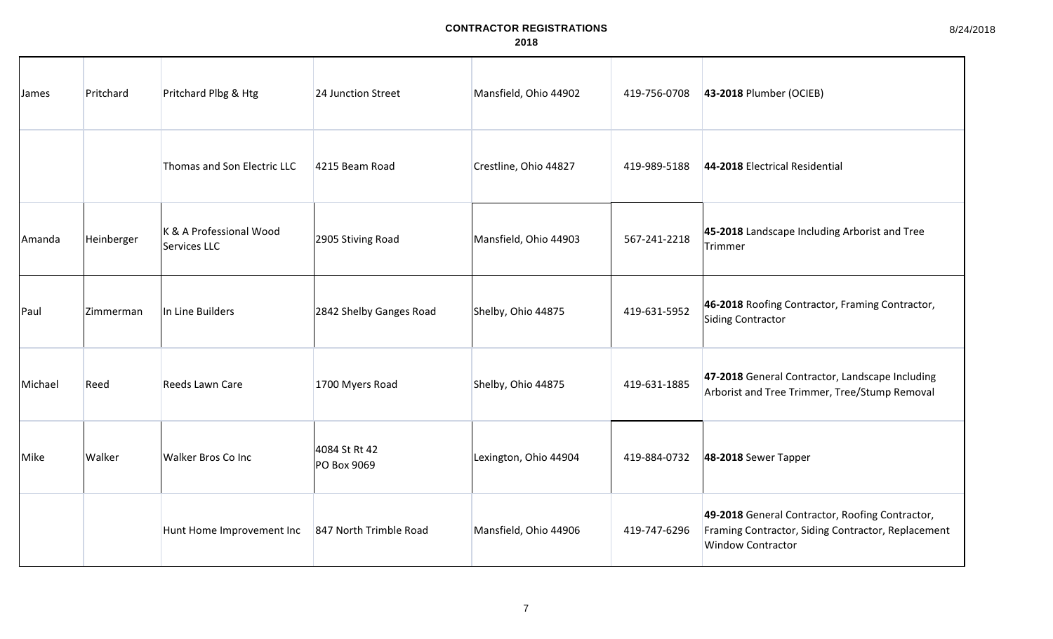| James   | Pritchard        | Pritchard Plbg & Htg                    | 24 Junction Street           | Mansfield, Ohio 44902 | 419-756-0708 | 43-2018 Plumber (OCIEB)                                                                                                           |
|---------|------------------|-----------------------------------------|------------------------------|-----------------------|--------------|-----------------------------------------------------------------------------------------------------------------------------------|
|         |                  | Thomas and Son Electric LLC             | 4215 Beam Road               | Crestline, Ohio 44827 | 419-989-5188 | 44-2018 Electrical Residential                                                                                                    |
| Amanda  | Heinberger       | K & A Professional Wood<br>Services LLC | 2905 Stiving Road            | Mansfield, Ohio 44903 | 567-241-2218 | 45-2018 Landscape Including Arborist and Tree<br>Trimmer                                                                          |
| Paul    | <b>Zimmerman</b> | In Line Builders                        | 2842 Shelby Ganges Road      | Shelby, Ohio 44875    | 419-631-5952 | 46-2018 Roofing Contractor, Framing Contractor,<br>Siding Contractor                                                              |
| Michael | Reed             | Reeds Lawn Care                         | 1700 Myers Road              | Shelby, Ohio 44875    | 419-631-1885 | 47-2018 General Contractor, Landscape Including<br>Arborist and Tree Trimmer, Tree/Stump Removal                                  |
| Mike    | Walker           | <b>Walker Bros Co Inc.</b>              | 4084 St Rt 42<br>PO Box 9069 | Lexington, Ohio 44904 | 419-884-0732 | 48-2018 Sewer Tapper                                                                                                              |
|         |                  | Hunt Home Improvement Inc               | 847 North Trimble Road       | Mansfield, Ohio 44906 | 419-747-6296 | 49-2018 General Contractor, Roofing Contractor,<br>Framing Contractor, Siding Contractor, Replacement<br><b>Window Contractor</b> |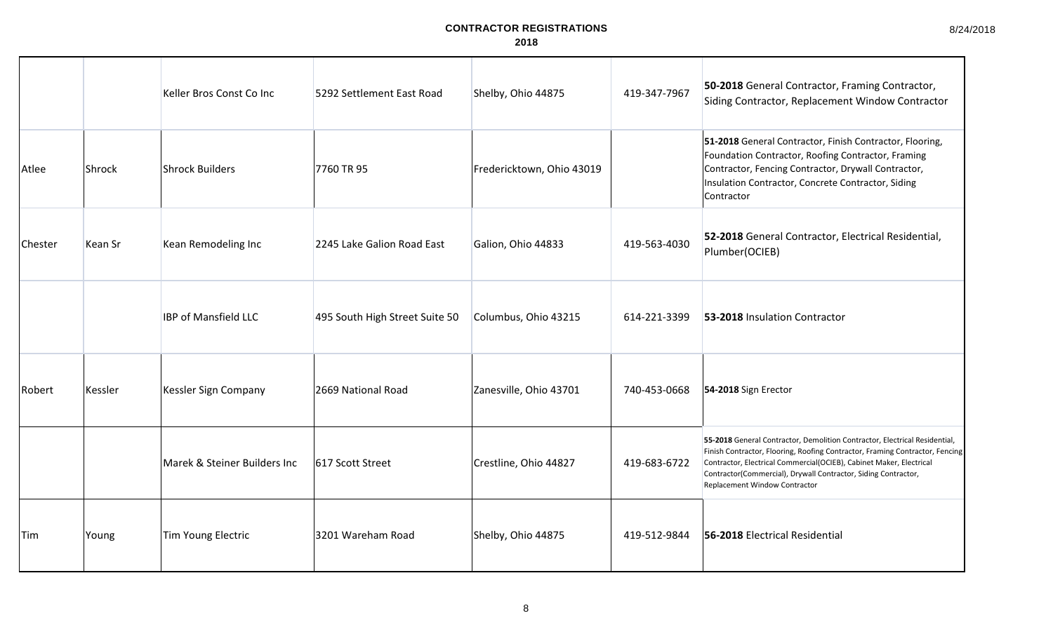8/24/2018

|         |                | Keller Bros Const Co Inc     | 5292 Settlement East Road      | Shelby, Ohio 44875        | 419-347-7967 | 50-2018 General Contractor, Framing Contractor,<br>Siding Contractor, Replacement Window Contractor                                                                                                                                                                                                                                  |
|---------|----------------|------------------------------|--------------------------------|---------------------------|--------------|--------------------------------------------------------------------------------------------------------------------------------------------------------------------------------------------------------------------------------------------------------------------------------------------------------------------------------------|
| Atlee   | Shrock         | <b>Shrock Builders</b>       | 7760 TR 95                     | Fredericktown, Ohio 43019 |              | 51-2018 General Contractor, Finish Contractor, Flooring,<br>Foundation Contractor, Roofing Contractor, Framing<br>Contractor, Fencing Contractor, Drywall Contractor,<br>Insulation Contractor, Concrete Contractor, Siding<br>Contractor                                                                                            |
| Chester | <b>Kean Sr</b> | Kean Remodeling Inc          | 2245 Lake Galion Road East     | Galion, Ohio 44833        | 419-563-4030 | 52-2018 General Contractor, Electrical Residential,<br>Plumber(OCIEB)                                                                                                                                                                                                                                                                |
|         |                | <b>IBP of Mansfield LLC</b>  | 495 South High Street Suite 50 | Columbus, Ohio 43215      | 614-221-3399 | 53-2018 Insulation Contractor                                                                                                                                                                                                                                                                                                        |
| Robert  | Kessler        | Kessler Sign Company         | 2669 National Road             | Zanesville, Ohio 43701    | 740-453-0668 | 54-2018 Sign Erector                                                                                                                                                                                                                                                                                                                 |
|         |                | Marek & Steiner Builders Inc | 617 Scott Street               | Crestline, Ohio 44827     | 419-683-6722 | 55-2018 General Contractor, Demolition Contractor, Electrical Residential,<br>Finish Contractor, Flooring, Roofing Contractor, Framing Contractor, Fencing<br>Contractor, Electrical Commercial(OCIEB), Cabinet Maker, Electrical<br>Contractor(Commercial), Drywall Contractor, Siding Contractor,<br>Replacement Window Contractor |
| Tim     | Young          | Tim Young Electric           | 3201 Wareham Road              | Shelby, Ohio 44875        | 419-512-9844 | 56-2018 Electrical Residential                                                                                                                                                                                                                                                                                                       |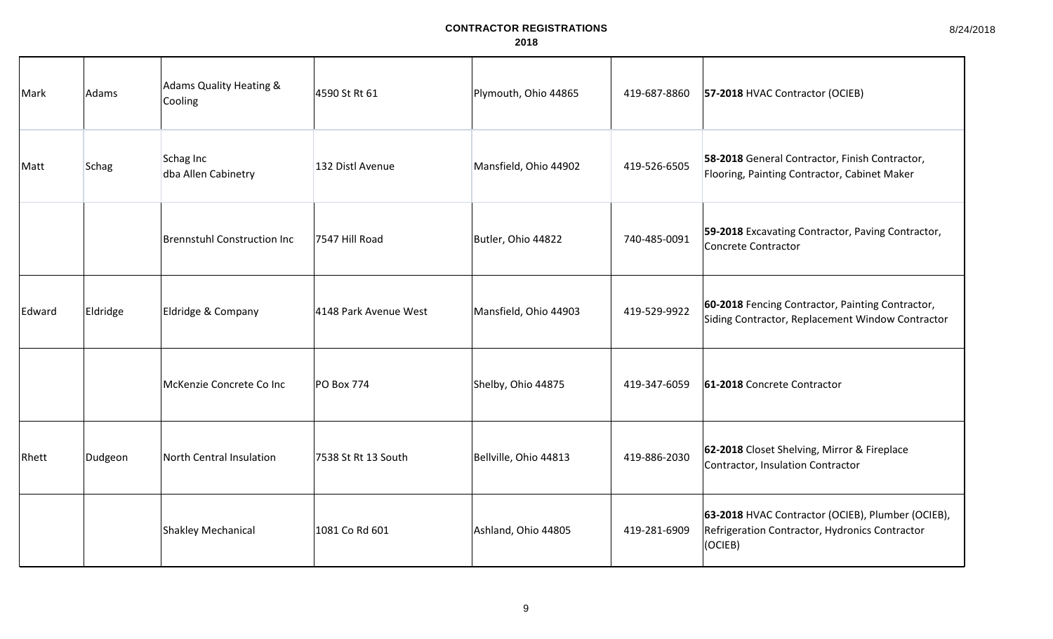| Mark   | Adams        | Adams Quality Heating &<br>Cooling | 4590 St Rt 61         | Plymouth, Ohio 44865  | 419-687-8860 | 57-2018 HVAC Contractor (OCIEB)                                                                                |
|--------|--------------|------------------------------------|-----------------------|-----------------------|--------------|----------------------------------------------------------------------------------------------------------------|
| Matt   | <b>Schag</b> | Schag Inc<br>dba Allen Cabinetry   | 132 Distl Avenue      | Mansfield, Ohio 44902 | 419-526-6505 | 58-2018 General Contractor, Finish Contractor,<br>Flooring, Painting Contractor, Cabinet Maker                 |
|        |              | <b>Brennstuhl Construction Inc</b> | 7547 Hill Road        | Butler, Ohio 44822    | 740-485-0091 | 59-2018 Excavating Contractor, Paving Contractor,<br>Concrete Contractor                                       |
| Edward | Eldridge     | Eldridge & Company                 | 4148 Park Avenue West | Mansfield, Ohio 44903 | 419-529-9922 | 60-2018 Fencing Contractor, Painting Contractor,<br>Siding Contractor, Replacement Window Contractor           |
|        |              | McKenzie Concrete Co Inc           | PO Box 774            | Shelby, Ohio 44875    | 419-347-6059 | 61-2018 Concrete Contractor                                                                                    |
| Rhett  | Dudgeon      | North Central Insulation           | 7538 St Rt 13 South   | Bellville, Ohio 44813 | 419-886-2030 | 62-2018 Closet Shelving, Mirror & Fireplace<br>Contractor, Insulation Contractor                               |
|        |              | Shakley Mechanical                 | 1081 Co Rd 601        | Ashland, Ohio 44805   | 419-281-6909 | 63-2018 HVAC Contractor (OCIEB), Plumber (OCIEB),<br>Refrigeration Contractor, Hydronics Contractor<br>(OCIEB) |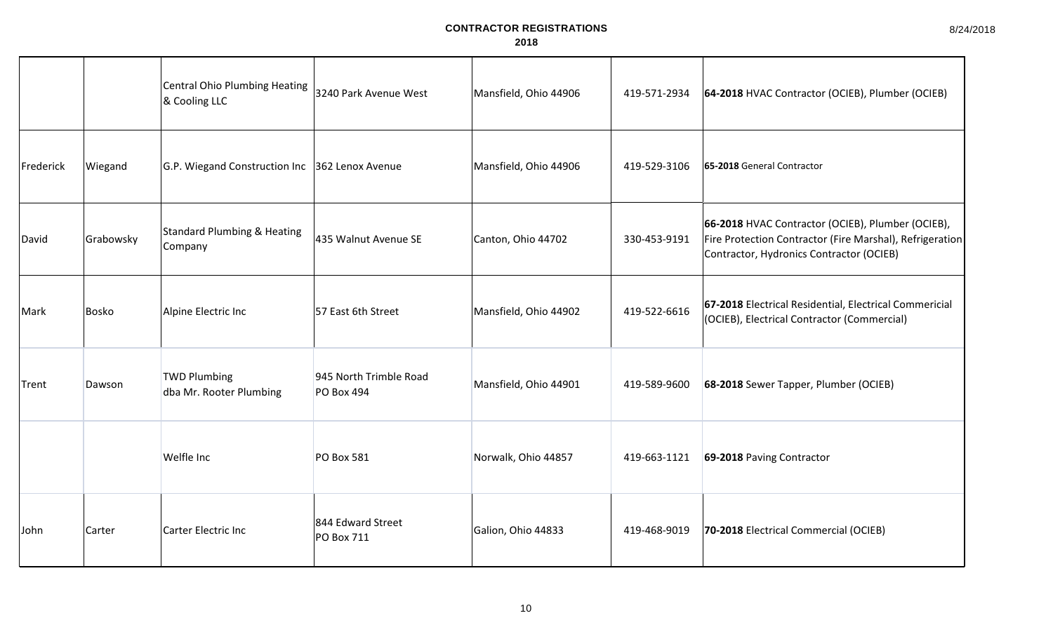|           |              | Central Ohio Plumbing Heating<br>& Cooling LLC    | 3240 Park Avenue West                       | Mansfield, Ohio 44906 | 419-571-2934 | 64-2018 HVAC Contractor (OCIEB), Plumber (OCIEB)                                                                                                          |
|-----------|--------------|---------------------------------------------------|---------------------------------------------|-----------------------|--------------|-----------------------------------------------------------------------------------------------------------------------------------------------------------|
| Frederick | Wiegand      | G.P. Wiegand Construction Inc 362 Lenox Avenue    |                                             | Mansfield, Ohio 44906 | 419-529-3106 | 65-2018 General Contractor                                                                                                                                |
| David     | Grabowsky    | <b>Standard Plumbing &amp; Heating</b><br>Company | 435 Walnut Avenue SE                        | Canton, Ohio 44702    | 330-453-9191 | 66-2018 HVAC Contractor (OCIEB), Plumber (OCIEB),<br>Fire Protection Contractor (Fire Marshal), Refrigeration<br>Contractor, Hydronics Contractor (OCIEB) |
| Mark      | <b>Bosko</b> | Alpine Electric Inc                               | 57 East 6th Street                          | Mansfield, Ohio 44902 | 419-522-6616 | 67-2018 Electrical Residential, Electrical Commericial<br>(OCIEB), Electrical Contractor (Commercial)                                                     |
| Trent     | Dawson       | <b>TWD Plumbing</b><br>dba Mr. Rooter Plumbing    | 945 North Trimble Road<br><b>PO Box 494</b> | Mansfield, Ohio 44901 | 419-589-9600 | 68-2018 Sewer Tapper, Plumber (OCIEB)                                                                                                                     |
|           |              | <b>Welfle Inc</b>                                 | <b>PO Box 581</b>                           | Norwalk, Ohio 44857   | 419-663-1121 | 69-2018 Paving Contractor                                                                                                                                 |
| John      | Carter       | Carter Electric Inc                               | 844 Edward Street<br>PO Box 711             | Galion, Ohio 44833    | 419-468-9019 | 70-2018 Electrical Commercial (OCIEB)                                                                                                                     |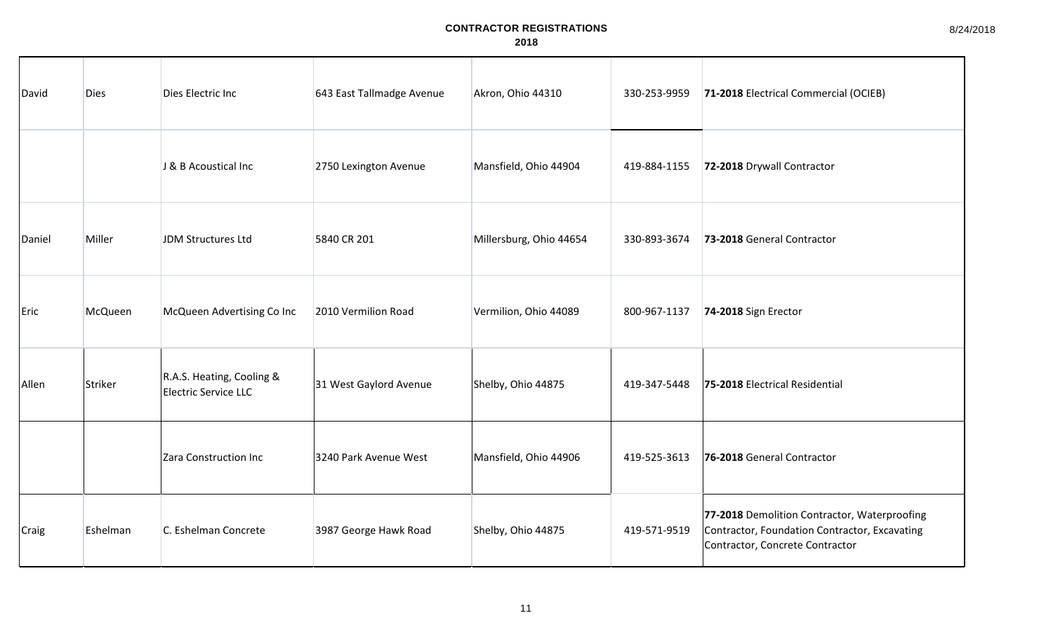| David  | <b>Dies</b> | Dies Electric Inc                                        | 643 East Tallmadge Avenue | Akron, Ohio 44310       | 330-253-9959 | 71-2018 Electrical Commercial (OCIEB)                                                                                            |
|--------|-------------|----------------------------------------------------------|---------------------------|-------------------------|--------------|----------------------------------------------------------------------------------------------------------------------------------|
|        |             | J & B Acoustical Inc                                     | 2750 Lexington Avenue     | Mansfield, Ohio 44904   | 419-884-1155 | 72-2018 Drywall Contractor                                                                                                       |
| Daniel | Miller      | JDM Structures Ltd                                       | 5840 CR 201               | Millersburg, Ohio 44654 | 330-893-3674 | 73-2018 General Contractor                                                                                                       |
| Eric   | McQueen     | McQueen Advertising Co Inc                               | 2010 Vermilion Road       | Vermilion, Ohio 44089   | 800-967-1137 | 74-2018 Sign Erector                                                                                                             |
| Allen  | Striker     | R.A.S. Heating, Cooling &<br><b>Electric Service LLC</b> | 31 West Gaylord Avenue    | Shelby, Ohio 44875      | 419-347-5448 | 75-2018 Electrical Residential                                                                                                   |
|        |             | Zara Construction Inc                                    | 3240 Park Avenue West     | Mansfield, Ohio 44906   | 419-525-3613 | 76-2018 General Contractor                                                                                                       |
| Craig  | Eshelman    | C. Eshelman Concrete                                     | 3987 George Hawk Road     | Shelby, Ohio 44875      | 419-571-9519 | 77-2018 Demolition Contractor, Waterproofing<br>Contractor, Foundation Contractor, Excavating<br>Contractor, Concrete Contractor |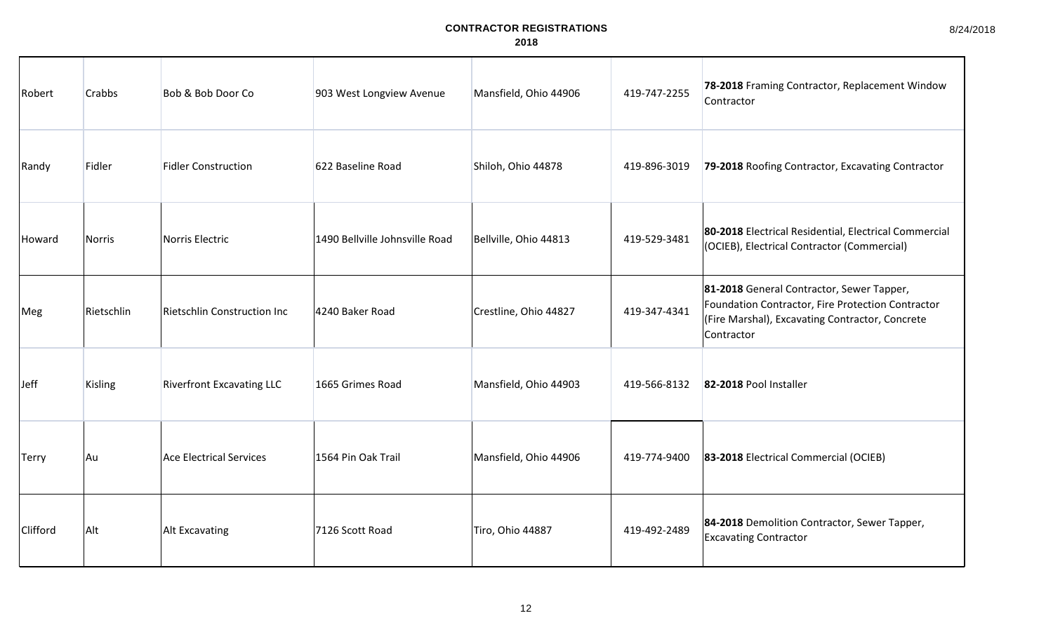| Robert          | <b>Crabbs</b> | Bob & Bob Door Co                  | 903 West Longview Avenue       | Mansfield, Ohio 44906 | 419-747-2255 | 78-2018 Framing Contractor, Replacement Window<br>Contractor                                                                                                    |
|-----------------|---------------|------------------------------------|--------------------------------|-----------------------|--------------|-----------------------------------------------------------------------------------------------------------------------------------------------------------------|
| Randy           | Fidler        | <b>Fidler Construction</b>         | 622 Baseline Road              | Shiloh, Ohio 44878    | 419-896-3019 | 79-2018 Roofing Contractor, Excavating Contractor                                                                                                               |
| Howard          | <b>Norris</b> | Norris Electric                    | 1490 Bellville Johnsville Road | Bellville, Ohio 44813 | 419-529-3481 | 80-2018 Electrical Residential, Electrical Commercial<br>(OCIEB), Electrical Contractor (Commercial)                                                            |
| Meg             | Rietschlin    | <b>Rietschlin Construction Inc</b> | 4240 Baker Road                | Crestline, Ohio 44827 | 419-347-4341 | 81-2018 General Contractor, Sewer Tapper,<br>Foundation Contractor, Fire Protection Contractor<br>(Fire Marshal), Excavating Contractor, Concrete<br>Contractor |
| Jeff            | Kisling       | <b>Riverfront Excavating LLC</b>   | 1665 Grimes Road               | Mansfield, Ohio 44903 | 419-566-8132 | 82-2018 Pool Installer                                                                                                                                          |
| <b>Terry</b>    | Au            | <b>Ace Electrical Services</b>     | 1564 Pin Oak Trail             | Mansfield, Ohio 44906 | 419-774-9400 | 83-2018 Electrical Commercial (OCIEB)                                                                                                                           |
| <b>Clifford</b> | Alt           | <b>Alt Excavating</b>              | 7126 Scott Road                | Tiro, Ohio 44887      | 419-492-2489 | 84-2018 Demolition Contractor, Sewer Tapper,<br><b>Excavating Contractor</b>                                                                                    |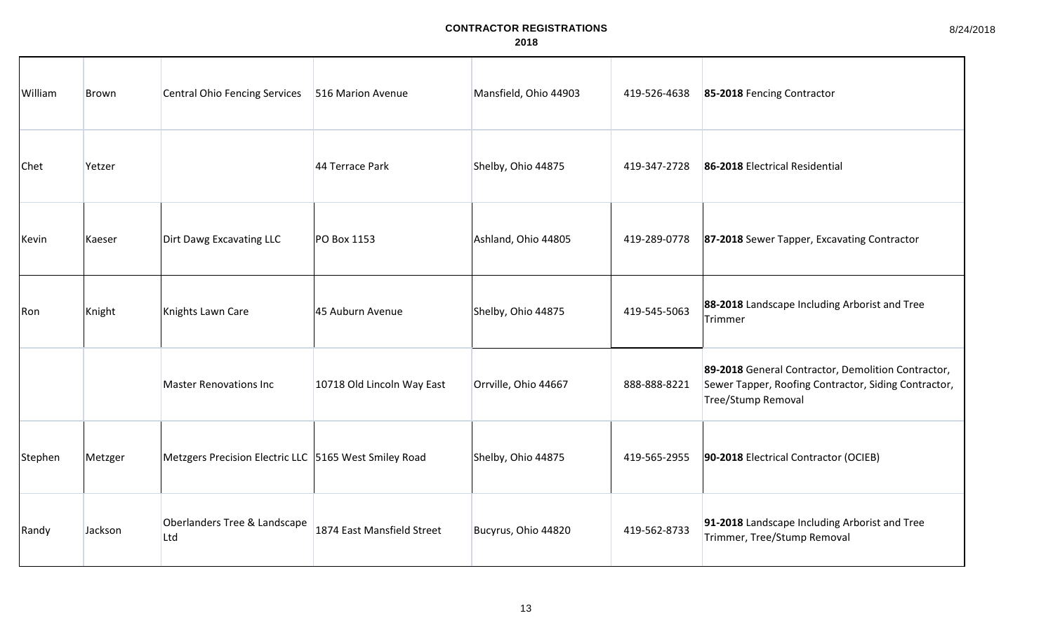| William | Brown   | <b>Central Ohio Fencing Services</b>                  | 516 Marion Avenue          | Mansfield, Ohio 44903 | 419-526-4638 | 85-2018 Fencing Contractor                                                                                                       |
|---------|---------|-------------------------------------------------------|----------------------------|-----------------------|--------------|----------------------------------------------------------------------------------------------------------------------------------|
| Chet    | Yetzer  |                                                       | 44 Terrace Park            | Shelby, Ohio 44875    | 419-347-2728 | 86-2018 Electrical Residential                                                                                                   |
| Kevin   | Kaeser  | Dirt Dawg Excavating LLC                              | PO Box 1153                | Ashland, Ohio 44805   | 419-289-0778 | 87-2018 Sewer Tapper, Excavating Contractor                                                                                      |
| Ron     | Knight  | Knights Lawn Care                                     | 45 Auburn Avenue           | Shelby, Ohio 44875    | 419-545-5063 | 88-2018 Landscape Including Arborist and Tree<br>Trimmer                                                                         |
|         |         | <b>Master Renovations Inc</b>                         | 10718 Old Lincoln Way East | Orrville, Ohio 44667  | 888-888-8221 | 89-2018 General Contractor, Demolition Contractor,<br>Sewer Tapper, Roofing Contractor, Siding Contractor,<br>Tree/Stump Removal |
| Stephen | Metzger | Metzgers Precision Electric LLC 5165 West Smiley Road |                            | Shelby, Ohio 44875    | 419-565-2955 | 90-2018 Electrical Contractor (OCIEB)                                                                                            |
| Randy   | Jackson | Oberlanders Tree & Landscape<br>Ltd                   | 1874 East Mansfield Street | Bucyrus, Ohio 44820   | 419-562-8733 | 91-2018 Landscape Including Arborist and Tree<br>Trimmer, Tree/Stump Removal                                                     |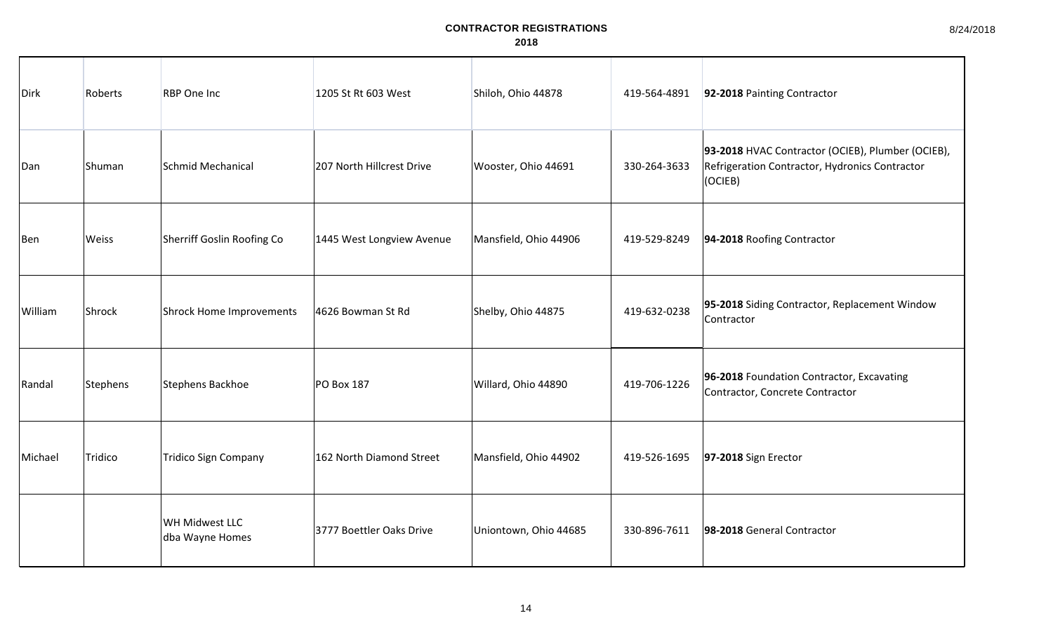| Dirk    | Roberts  | <b>RBP</b> One Inc                       | 1205 St Rt 603 West       | Shiloh, Ohio 44878    | 419-564-4891 | 92-2018 Painting Contractor                                                                                    |
|---------|----------|------------------------------------------|---------------------------|-----------------------|--------------|----------------------------------------------------------------------------------------------------------------|
| Dan     | Shuman   | Schmid Mechanical                        | 207 North Hillcrest Drive | Wooster, Ohio 44691   | 330-264-3633 | 93-2018 HVAC Contractor (OCIEB), Plumber (OCIEB),<br>Refrigeration Contractor, Hydronics Contractor<br>(OCIEB) |
| Ben     | Weiss    | Sherriff Goslin Roofing Co               | 1445 West Longview Avenue | Mansfield, Ohio 44906 | 419-529-8249 | 94-2018 Roofing Contractor                                                                                     |
| William | Shrock   | Shrock Home Improvements                 | 4626 Bowman St Rd         | Shelby, Ohio 44875    | 419-632-0238 | 95-2018 Siding Contractor, Replacement Window<br>Contractor                                                    |
| Randal  | Stephens | Stephens Backhoe                         | PO Box 187                | Willard, Ohio 44890   | 419-706-1226 | 96-2018 Foundation Contractor, Excavating<br>Contractor, Concrete Contractor                                   |
| Michael | Tridico  | <b>Tridico Sign Company</b>              | 162 North Diamond Street  | Mansfield, Ohio 44902 | 419-526-1695 | 97-2018 Sign Erector                                                                                           |
|         |          | <b>WH Midwest LLC</b><br>dba Wayne Homes | 3777 Boettler Oaks Drive  | Uniontown, Ohio 44685 | 330-896-7611 | 98-2018 General Contractor                                                                                     |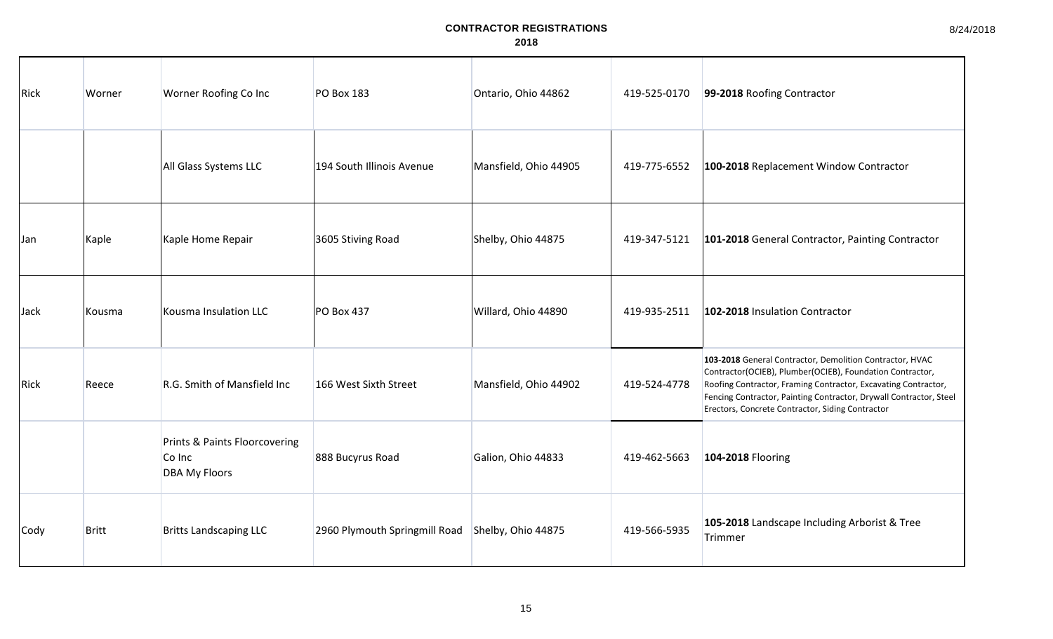| Rick | Worner       | Worner Roofing Co Inc                                           | <b>PO Box 183</b>             | Ontario, Ohio 44862   | 419-525-0170 | 99-2018 Roofing Contractor                                                                                                                                                                                                                                                                                        |
|------|--------------|-----------------------------------------------------------------|-------------------------------|-----------------------|--------------|-------------------------------------------------------------------------------------------------------------------------------------------------------------------------------------------------------------------------------------------------------------------------------------------------------------------|
|      |              | All Glass Systems LLC                                           | 194 South Illinois Avenue     | Mansfield, Ohio 44905 | 419-775-6552 | 100-2018 Replacement Window Contractor                                                                                                                                                                                                                                                                            |
| Jan  | Kaple        | Kaple Home Repair                                               | 3605 Stiving Road             | Shelby, Ohio 44875    | 419-347-5121 | 101-2018 General Contractor, Painting Contractor                                                                                                                                                                                                                                                                  |
| Jack | Kousma       | Kousma Insulation LLC                                           | <b>PO Box 437</b>             | Willard, Ohio 44890   | 419-935-2511 | 102-2018 Insulation Contractor                                                                                                                                                                                                                                                                                    |
| Rick | Reece        | R.G. Smith of Mansfield Inc                                     | 166 West Sixth Street         | Mansfield, Ohio 44902 | 419-524-4778 | 103-2018 General Contractor, Demolition Contractor, HVAC<br>Contractor(OCIEB), Plumber(OCIEB), Foundation Contractor,<br>Roofing Contractor, Framing Contractor, Excavating Contractor,<br>Fencing Contractor, Painting Contractor, Drywall Contractor, Steel<br>Erectors, Concrete Contractor, Siding Contractor |
|      |              | Prints & Paints Floorcovering<br>Co Inc<br><b>DBA My Floors</b> | 888 Bucyrus Road              | Galion, Ohio 44833    | 419-462-5663 | 104-2018 Flooring                                                                                                                                                                                                                                                                                                 |
| Cody | <b>Britt</b> | <b>Britts Landscaping LLC</b>                                   | 2960 Plymouth Springmill Road | Shelby, Ohio 44875    | 419-566-5935 | 105-2018 Landscape Including Arborist & Tree<br>Trimmer                                                                                                                                                                                                                                                           |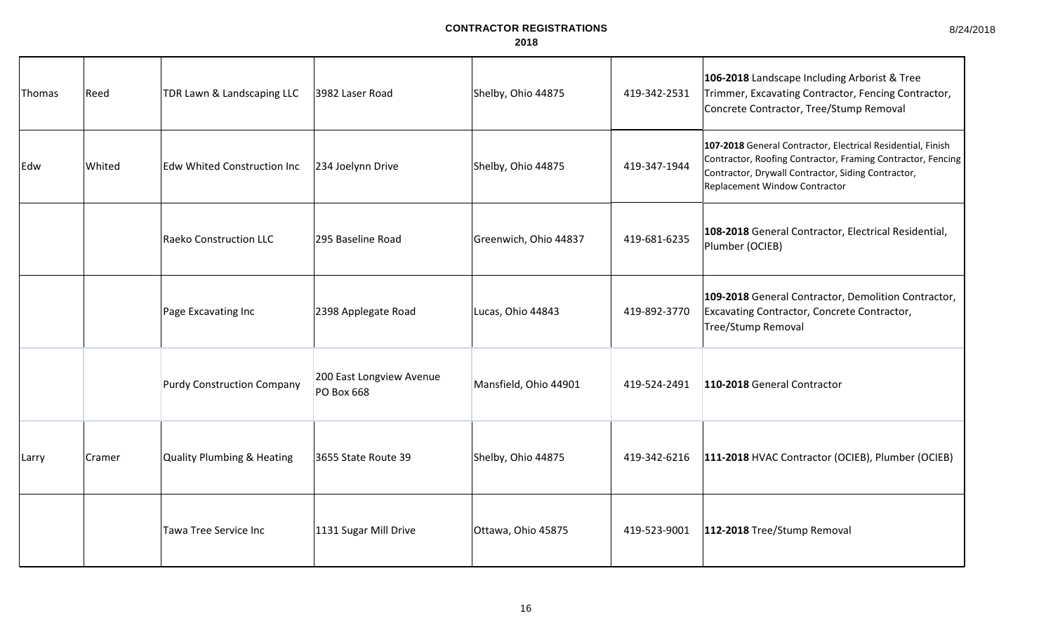8/24/2018

| Thomas | Reed   | TDR Lawn & Landscaping LLC            | 3982 Laser Road                        | Shelby, Ohio 44875    | 419-342-2531 | 106-2018 Landscape Including Arborist & Tree<br>Trimmer, Excavating Contractor, Fencing Contractor,<br>Concrete Contractor, Tree/Stump Removal                                                                    |
|--------|--------|---------------------------------------|----------------------------------------|-----------------------|--------------|-------------------------------------------------------------------------------------------------------------------------------------------------------------------------------------------------------------------|
| Edw    | Whited | <b>Edw Whited Construction Inc</b>    | 234 Joelynn Drive                      | Shelby, Ohio 44875    | 419-347-1944 | 107-2018 General Contractor, Electrical Residential, Finish<br>Contractor, Roofing Contractor, Framing Contractor, Fencing<br>Contractor, Drywall Contractor, Siding Contractor,<br>Replacement Window Contractor |
|        |        | <b>Raeko Construction LLC</b>         | 295 Baseline Road                      | Greenwich, Ohio 44837 | 419-681-6235 | 108-2018 General Contractor, Electrical Residential,<br>Plumber (OCIEB)                                                                                                                                           |
|        |        | Page Excavating Inc                   | 2398 Applegate Road                    | Lucas, Ohio 44843     | 419-892-3770 | 109-2018 General Contractor, Demolition Contractor,<br>Excavating Contractor, Concrete Contractor,<br><b>Tree/Stump Removal</b>                                                                                   |
|        |        | <b>Purdy Construction Company</b>     | 200 East Longview Avenue<br>PO Box 668 | Mansfield, Ohio 44901 | 419-524-2491 | 110-2018 General Contractor                                                                                                                                                                                       |
| Larry  | Cramer | <b>Quality Plumbing &amp; Heating</b> | 3655 State Route 39                    | Shelby, Ohio 44875    | 419-342-6216 | 111-2018 HVAC Contractor (OCIEB), Plumber (OCIEB)                                                                                                                                                                 |
|        |        | Tawa Tree Service Inc                 | 1131 Sugar Mill Drive                  | Ottawa, Ohio 45875    | 419-523-9001 | 112-2018 Tree/Stump Removal                                                                                                                                                                                       |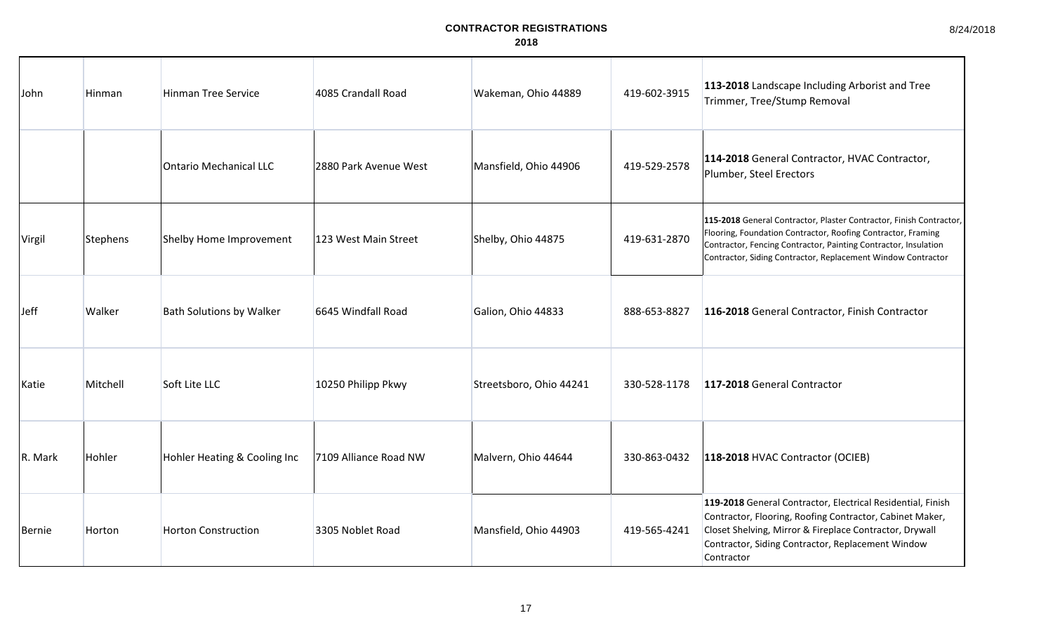8/24/2018

| John    | Hinman   | <b>Hinman Tree Service</b>      | 4085 Crandall Road    | Wakeman, Ohio 44889     | 419-602-3915 | 113-2018 Landscape Including Arborist and Tree<br>Trimmer, Tree/Stump Removal                                                                                                                                                                                          |
|---------|----------|---------------------------------|-----------------------|-------------------------|--------------|------------------------------------------------------------------------------------------------------------------------------------------------------------------------------------------------------------------------------------------------------------------------|
|         |          | <b>Ontario Mechanical LLC</b>   | 2880 Park Avenue West | Mansfield, Ohio 44906   | 419-529-2578 | 114-2018 General Contractor, HVAC Contractor,<br>Plumber, Steel Erectors                                                                                                                                                                                               |
| Virgil  | Stephens | Shelby Home Improvement         | 123 West Main Street  | Shelby, Ohio 44875      | 419-631-2870 | 115-2018 General Contractor, Plaster Contractor, Finish Contractor,<br>Flooring, Foundation Contractor, Roofing Contractor, Framing<br>Contractor, Fencing Contractor, Painting Contractor, Insulation<br>Contractor, Siding Contractor, Replacement Window Contractor |
| Jeff    | Walker   | <b>Bath Solutions by Walker</b> | 6645 Windfall Road    | Galion, Ohio 44833      | 888-653-8827 | 116-2018 General Contractor, Finish Contractor                                                                                                                                                                                                                         |
| Katie   | Mitchell | Soft Lite LLC                   | 10250 Philipp Pkwy    | Streetsboro, Ohio 44241 | 330-528-1178 | 117-2018 General Contractor                                                                                                                                                                                                                                            |
| R. Mark | Hohler   | Hohler Heating & Cooling Inc    | 7109 Alliance Road NW | Malvern, Ohio 44644     | 330-863-0432 | 118-2018 HVAC Contractor (OCIEB)                                                                                                                                                                                                                                       |
| Bernie  | Horton   | <b>Horton Construction</b>      | 3305 Noblet Road      | Mansfield, Ohio 44903   | 419-565-4241 | 119-2018 General Contractor, Electrical Residential, Finish<br>Contractor, Flooring, Roofing Contractor, Cabinet Maker,<br>Closet Shelving, Mirror & Fireplace Contractor, Drywall<br>Contractor, Siding Contractor, Replacement Window<br>Contractor                  |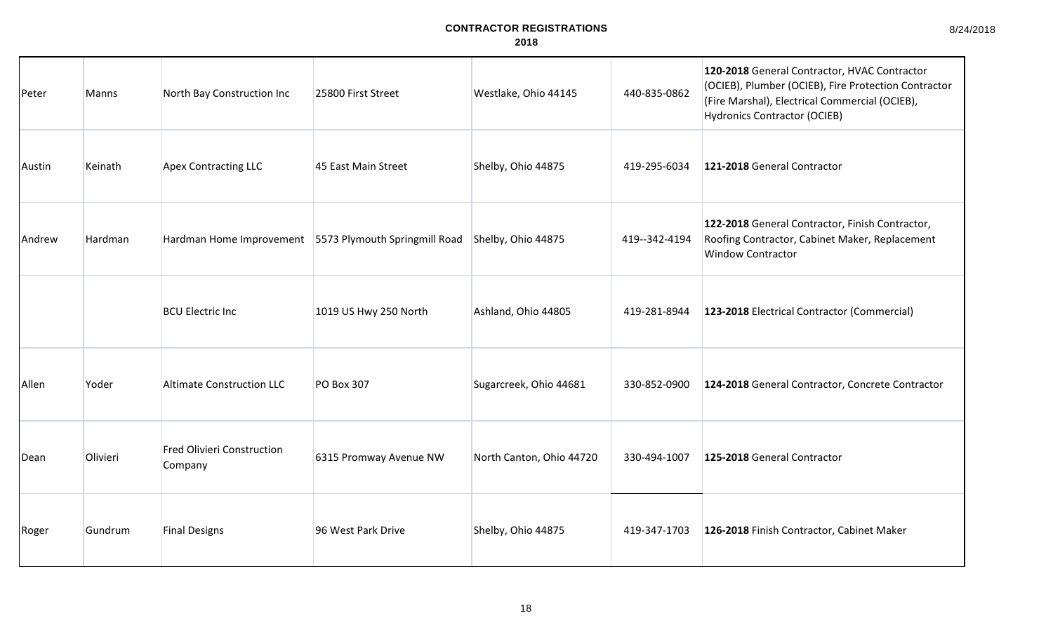| 8/24/2018 |  |
|-----------|--|
|-----------|--|

| Peter  | <b>Manns</b>   | North Bay Construction Inc                             | 25800 First Street     | Westlake, Ohio 44145     | 440-835-0862  | 120-2018 General Contractor, HVAC Contractor<br>(OCIEB), Plumber (OCIEB), Fire Protection Contractor<br>(Fire Marshal), Electrical Commercial (OCIEB),<br><b>Hydronics Contractor (OCIEB)</b> |
|--------|----------------|--------------------------------------------------------|------------------------|--------------------------|---------------|-----------------------------------------------------------------------------------------------------------------------------------------------------------------------------------------------|
| Austin | Keinath        | Apex Contracting LLC                                   | 45 East Main Street    | Shelby, Ohio 44875       | 419-295-6034  | 121-2018 General Contractor                                                                                                                                                                   |
| Andrew | <b>Hardman</b> | Hardman Home Improvement 5573 Plymouth Springmill Road |                        | Shelby, Ohio 44875       | 419--342-4194 | 122-2018 General Contractor, Finish Contractor,<br>Roofing Contractor, Cabinet Maker, Replacement<br><b>Window Contractor</b>                                                                 |
|        |                | <b>BCU Electric Inc</b>                                | 1019 US Hwy 250 North  | Ashland, Ohio 44805      | 419-281-8944  | 123-2018 Electrical Contractor (Commercial)                                                                                                                                                   |
| Allen  | Yoder          | Altimate Construction LLC                              | <b>PO Box 307</b>      | Sugarcreek, Ohio 44681   | 330-852-0900  | 124-2018 General Contractor, Concrete Contractor                                                                                                                                              |
| Dean   | Olivieri       | <b>Fred Olivieri Construction</b><br>Company           | 6315 Promway Avenue NW | North Canton, Ohio 44720 | 330-494-1007  | 125-2018 General Contractor                                                                                                                                                                   |
| Roger  | Gundrum        | <b>Final Designs</b>                                   | 96 West Park Drive     | Shelby, Ohio 44875       | 419-347-1703  | 126-2018 Finish Contractor, Cabinet Maker                                                                                                                                                     |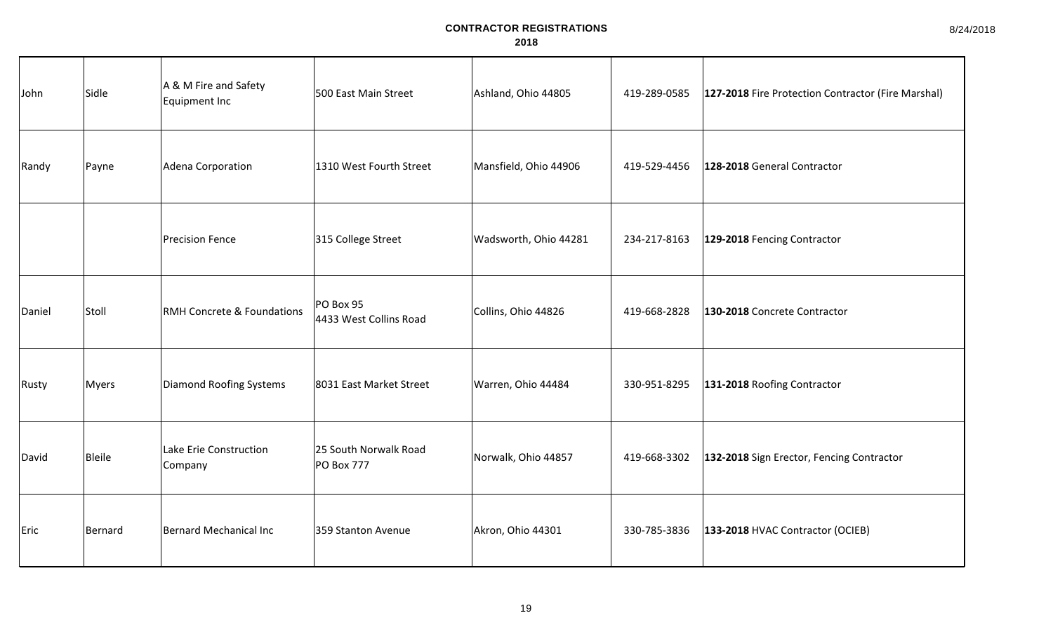| John   | Sidle        | A & M Fire and Safety<br>Equipment Inc | 500 East Main Street                       | Ashland, Ohio 44805   | 419-289-0585 | 127-2018 Fire Protection Contractor (Fire Marshal) |
|--------|--------------|----------------------------------------|--------------------------------------------|-----------------------|--------------|----------------------------------------------------|
| Randy  | Payne        | Adena Corporation                      | 1310 West Fourth Street                    | Mansfield, Ohio 44906 | 419-529-4456 | 128-2018 General Contractor                        |
|        |              | <b>Precision Fence</b>                 | 315 College Street                         | Wadsworth, Ohio 44281 | 234-217-8163 | 129-2018 Fencing Contractor                        |
| Daniel | Stoll        | <b>RMH Concrete &amp; Foundations</b>  | PO Box 95<br>4433 West Collins Road        | Collins, Ohio 44826   | 419-668-2828 | 130-2018 Concrete Contractor                       |
| Rusty  | <b>Myers</b> | Diamond Roofing Systems                | 8031 East Market Street                    | Warren, Ohio 44484    | 330-951-8295 | 131-2018 Roofing Contractor                        |
| David  | Bleile       | Lake Erie Construction<br>Company      | 25 South Norwalk Road<br><b>PO Box 777</b> | Norwalk, Ohio 44857   | 419-668-3302 | 132-2018 Sign Erector, Fencing Contractor          |
| Eric   | Bernard      | Bernard Mechanical Inc                 | 359 Stanton Avenue                         | Akron, Ohio 44301     | 330-785-3836 | 133-2018 HVAC Contractor (OCIEB)                   |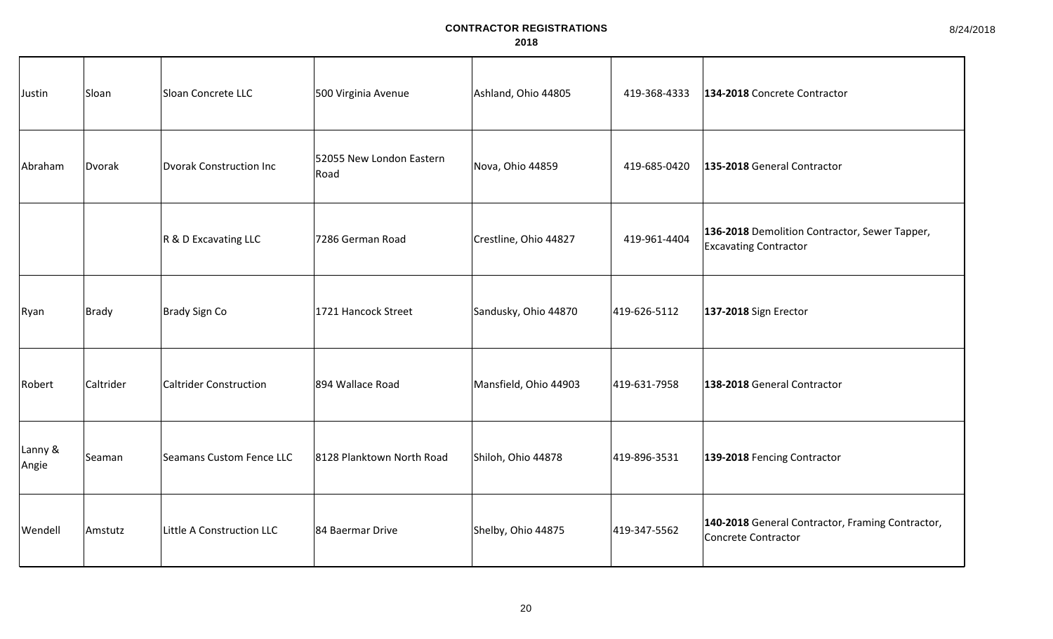| Justin           | Sloan     | Sloan Concrete LLC        | 500 Virginia Avenue              | Ashland, Ohio 44805   | 419-368-4333 | 134-2018 Concrete Contractor                                                   |
|------------------|-----------|---------------------------|----------------------------------|-----------------------|--------------|--------------------------------------------------------------------------------|
| Abraham          | Dvorak    | Dvorak Construction Inc   | 52055 New London Eastern<br>Road | Nova, Ohio 44859      | 419-685-0420 | 135-2018 General Contractor                                                    |
|                  |           | R & D Excavating LLC      | 7286 German Road                 | Crestline, Ohio 44827 | 419-961-4404 | 136-2018 Demolition Contractor, Sewer Tapper,<br><b>Excavating Contractor</b>  |
| Ryan             | Brady     | Brady Sign Co             | 1721 Hancock Street              | Sandusky, Ohio 44870  | 419-626-5112 | 137-2018 Sign Erector                                                          |
| Robert           | Caltrider | Caltrider Construction    | 894 Wallace Road                 | Mansfield, Ohio 44903 | 419-631-7958 | 138-2018 General Contractor                                                    |
| Lanny &<br>Angie | Seaman    | Seamans Custom Fence LLC  | 8128 Planktown North Road        | Shiloh, Ohio 44878    | 419-896-3531 | 139-2018 Fencing Contractor                                                    |
| Wendell          | Amstutz   | Little A Construction LLC | 84 Baermar Drive                 | Shelby, Ohio 44875    | 419-347-5562 | 140-2018 General Contractor, Framing Contractor,<br><b>Concrete Contractor</b> |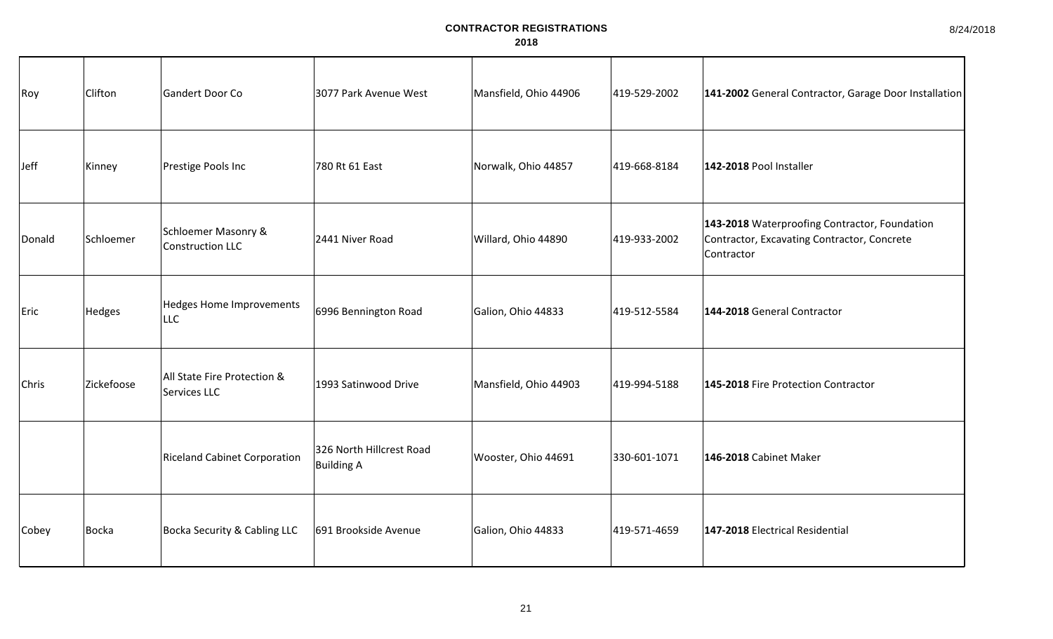| Roy          | Clifton      | Gandert Door Co                               | 3077 Park Avenue West                         | Mansfield, Ohio 44906 | 419-529-2002 | 141-2002 General Contractor, Garage Door Installation                                                      |
|--------------|--------------|-----------------------------------------------|-----------------------------------------------|-----------------------|--------------|------------------------------------------------------------------------------------------------------------|
| <b>Jeff</b>  | Kinney       | Prestige Pools Inc                            | 780 Rt 61 East                                | Norwalk, Ohio 44857   | 419-668-8184 | 142-2018 Pool Installer                                                                                    |
| Donald       | Schloemer    | Schloemer Masonry &<br>Construction LLC       | 2441 Niver Road                               | Willard, Ohio 44890   | 419-933-2002 | 143-2018 Waterproofing Contractor, Foundation<br>Contractor, Excavating Contractor, Concrete<br>Contractor |
| Eric         | Hedges       | <b>Hedges Home Improvements</b><br><b>LLC</b> | 6996 Bennington Road                          | Galion, Ohio 44833    | 419-512-5584 | 144-2018 General Contractor                                                                                |
| <b>Chris</b> | Zickefoose   | All State Fire Protection &<br>Services LLC   | 1993 Satinwood Drive                          | Mansfield, Ohio 44903 | 419-994-5188 | 145-2018 Fire Protection Contractor                                                                        |
|              |              | <b>Riceland Cabinet Corporation</b>           | 326 North Hillcrest Road<br><b>Building A</b> | Wooster, Ohio 44691   | 330-601-1071 | 146-2018 Cabinet Maker                                                                                     |
| Cobey        | <b>Bocka</b> | <b>Bocka Security &amp; Cabling LLC</b>       | 691 Brookside Avenue                          | Galion, Ohio 44833    | 419-571-4659 | 147-2018 Electrical Residential                                                                            |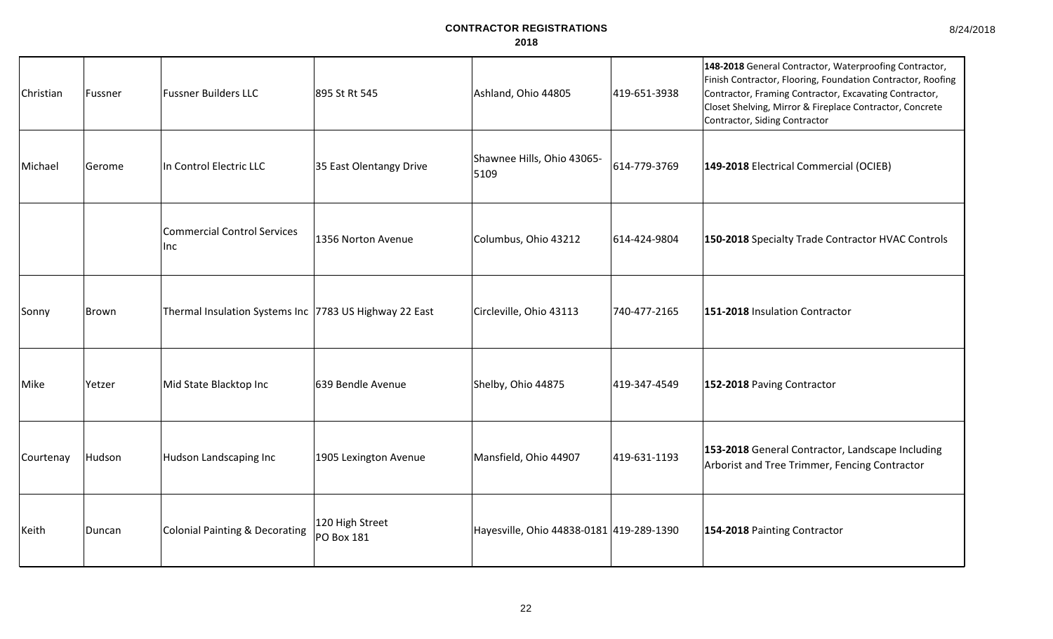| Christian | Fussner      | <b>Fussner Builders LLC</b>                            | 895 St Rt 545                        | Ashland, Ohio 44805                      | 419-651-3938 | 148-2018 General Contractor, Waterproofing Contractor,<br>Finish Contractor, Flooring, Foundation Contractor, Roofing<br>Contractor, Framing Contractor, Excavating Contractor,<br>Closet Shelving, Mirror & Fireplace Contractor, Concrete<br>Contractor, Siding Contractor |
|-----------|--------------|--------------------------------------------------------|--------------------------------------|------------------------------------------|--------------|------------------------------------------------------------------------------------------------------------------------------------------------------------------------------------------------------------------------------------------------------------------------------|
| Michael   | Gerome       | In Control Electric LLC                                | 35 East Olentangy Drive              | Shawnee Hills, Ohio 43065-<br>5109       | 614-779-3769 | 149-2018 Electrical Commercial (OCIEB)                                                                                                                                                                                                                                       |
|           |              | Commercial Control Services<br>Inc                     | 1356 Norton Avenue                   | Columbus, Ohio 43212                     | 614-424-9804 | 150-2018 Specialty Trade Contractor HVAC Controls                                                                                                                                                                                                                            |
| Sonny     | <b>Brown</b> | Thermal Insulation Systems Inc 7783 US Highway 22 East |                                      | Circleville, Ohio 43113                  | 740-477-2165 | 151-2018 Insulation Contractor                                                                                                                                                                                                                                               |
| Mike      | Yetzer       | Mid State Blacktop Inc                                 | 639 Bendle Avenue                    | Shelby, Ohio 44875                       | 419-347-4549 | 152-2018 Paving Contractor                                                                                                                                                                                                                                                   |
| Courtenay | Hudson       | Hudson Landscaping Inc                                 | 1905 Lexington Avenue                | Mansfield, Ohio 44907                    | 419-631-1193 | 153-2018 General Contractor, Landscape Including<br>Arborist and Tree Trimmer, Fencing Contractor                                                                                                                                                                            |
| Keith     | Duncan       | Colonial Painting & Decorating                         | 120 High Street<br><b>PO Box 181</b> | Hayesville, Ohio 44838-0181 419-289-1390 |              | 154-2018 Painting Contractor                                                                                                                                                                                                                                                 |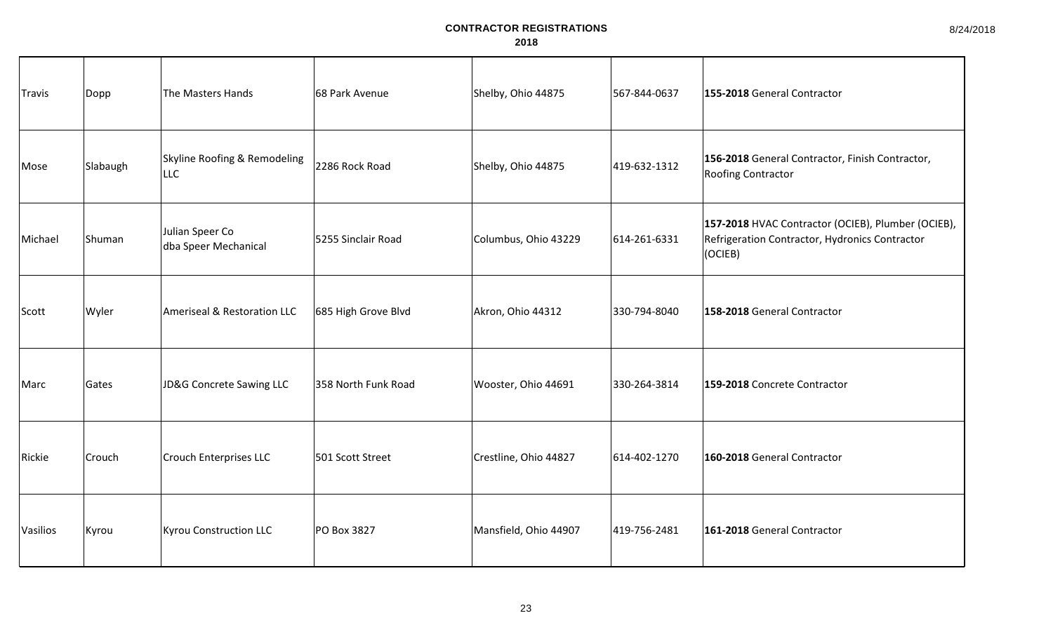| <b>Travis</b> | Dopp     | The Masters Hands                          | 68 Park Avenue      | Shelby, Ohio 44875    | 567-844-0637 | 155-2018 General Contractor                                                                                     |
|---------------|----------|--------------------------------------------|---------------------|-----------------------|--------------|-----------------------------------------------------------------------------------------------------------------|
| Mose          | Slabaugh | Skyline Roofing & Remodeling<br><b>LLC</b> | 2286 Rock Road      | Shelby, Ohio 44875    | 419-632-1312 | 156-2018 General Contractor, Finish Contractor,<br>Roofing Contractor                                           |
| Michael       | Shuman   | Julian Speer Co<br>dba Speer Mechanical    | 5255 Sinclair Road  | Columbus, Ohio 43229  | 614-261-6331 | 157-2018 HVAC Contractor (OCIEB), Plumber (OCIEB),<br>Refrigeration Contractor, Hydronics Contractor<br>(OCIEB) |
| Scott         | Wyler    | Ameriseal & Restoration LLC                | 685 High Grove Blvd | Akron, Ohio 44312     | 330-794-8040 | 158-2018 General Contractor                                                                                     |
| Marc          | Gates    | JD&G Concrete Sawing LLC                   | 358 North Funk Road | Wooster, Ohio 44691   | 330-264-3814 | 159-2018 Concrete Contractor                                                                                    |
| Rickie        | Crouch   | <b>Crouch Enterprises LLC</b>              | 501 Scott Street    | Crestline, Ohio 44827 | 614-402-1270 | 160-2018 General Contractor                                                                                     |
| Vasilios      | Kyrou    | <b>Kyrou Construction LLC</b>              | PO Box 3827         | Mansfield, Ohio 44907 | 419-756-2481 | 161-2018 General Contractor                                                                                     |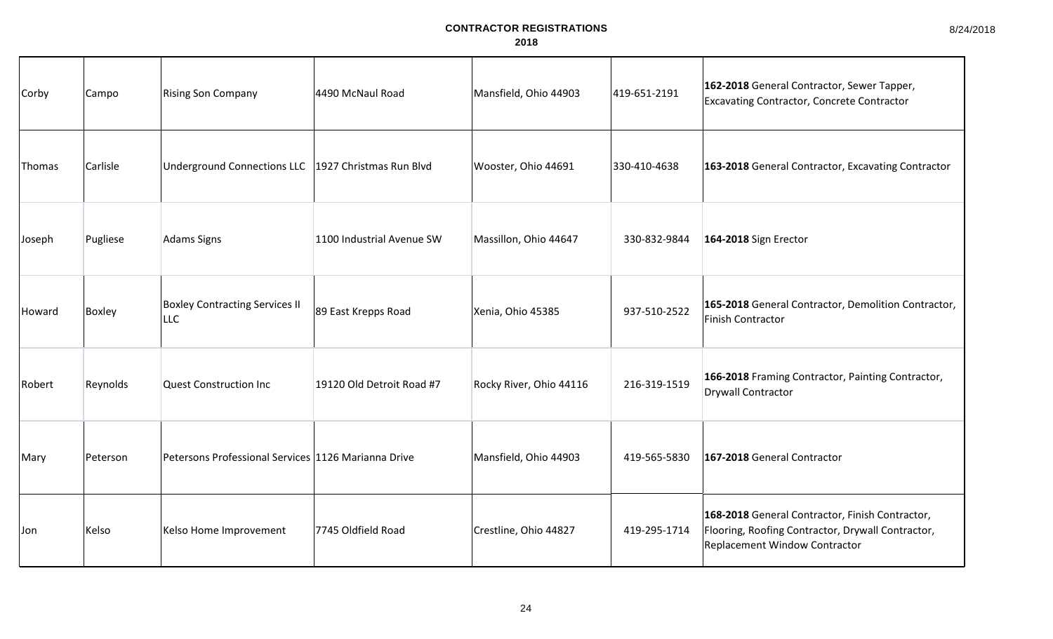| Corby  | Campo    | <b>Rising Son Company</b>                             | 4490 McNaul Road          | Mansfield, Ohio 44903   | 419-651-2191 | 162-2018 General Contractor, Sewer Tapper,<br>Excavating Contractor, Concrete Contractor                                              |
|--------|----------|-------------------------------------------------------|---------------------------|-------------------------|--------------|---------------------------------------------------------------------------------------------------------------------------------------|
| Thomas | Carlisle | Underground Connections LLC   1927 Christmas Run Blvd |                           | Wooster, Ohio 44691     | 330-410-4638 | 163-2018 General Contractor, Excavating Contractor                                                                                    |
| Joseph | Pugliese | Adams Signs                                           | 1100 Industrial Avenue SW | Massillon, Ohio 44647   | 330-832-9844 | 164-2018 Sign Erector                                                                                                                 |
| Howard | Boxley   | <b>Boxley Contracting Services II</b><br><b>LLC</b>   | 89 East Krepps Road       | Xenia, Ohio 45385       | 937-510-2522 | 165-2018 General Contractor, Demolition Contractor,<br>Finish Contractor                                                              |
| Robert | Reynolds | Quest Construction Inc                                | 19120 Old Detroit Road #7 | Rocky River, Ohio 44116 | 216-319-1519 | 166-2018 Framing Contractor, Painting Contractor,<br><b>Drywall Contractor</b>                                                        |
| Mary   | Peterson | Petersons Professional Services 1126 Marianna Drive   |                           | Mansfield, Ohio 44903   | 419-565-5830 | 167-2018 General Contractor                                                                                                           |
| Jon    | Kelso    | Kelso Home Improvement                                | 7745 Oldfield Road        | Crestline, Ohio 44827   | 419-295-1714 | 168-2018 General Contractor, Finish Contractor,<br>Flooring, Roofing Contractor, Drywall Contractor,<br>Replacement Window Contractor |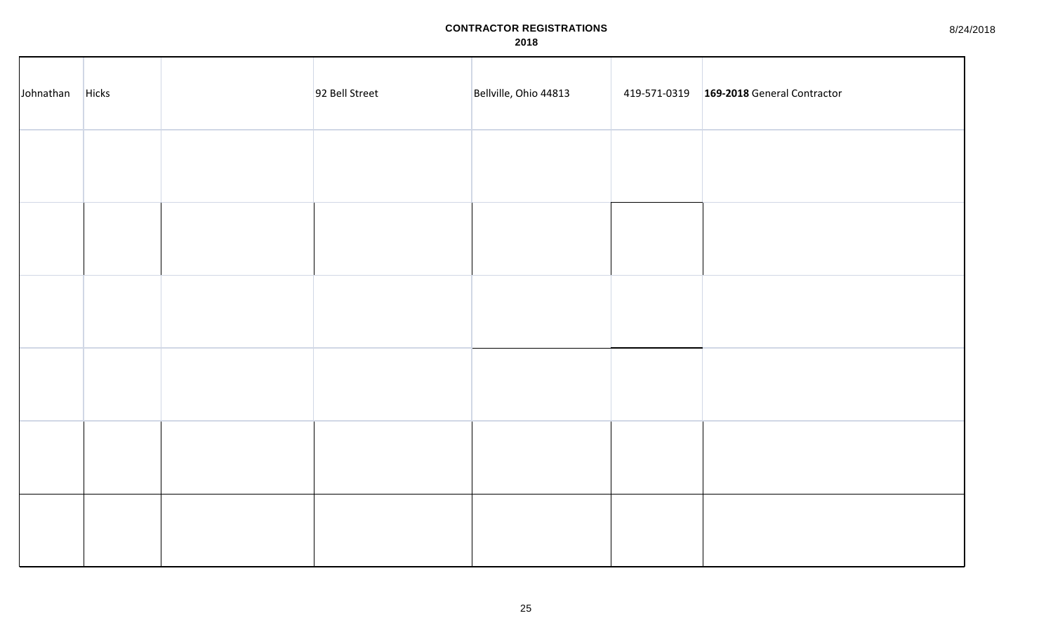8/24/2018

| Johnathan | Hicks | 92 Bell Street | Bellville, Ohio 44813 | 419-571-0319   169-2018 General Contractor |
|-----------|-------|----------------|-----------------------|--------------------------------------------|
|           |       |                |                       |                                            |
|           |       |                |                       |                                            |
|           |       |                |                       |                                            |
|           |       |                |                       |                                            |
|           |       |                |                       |                                            |
|           |       |                |                       |                                            |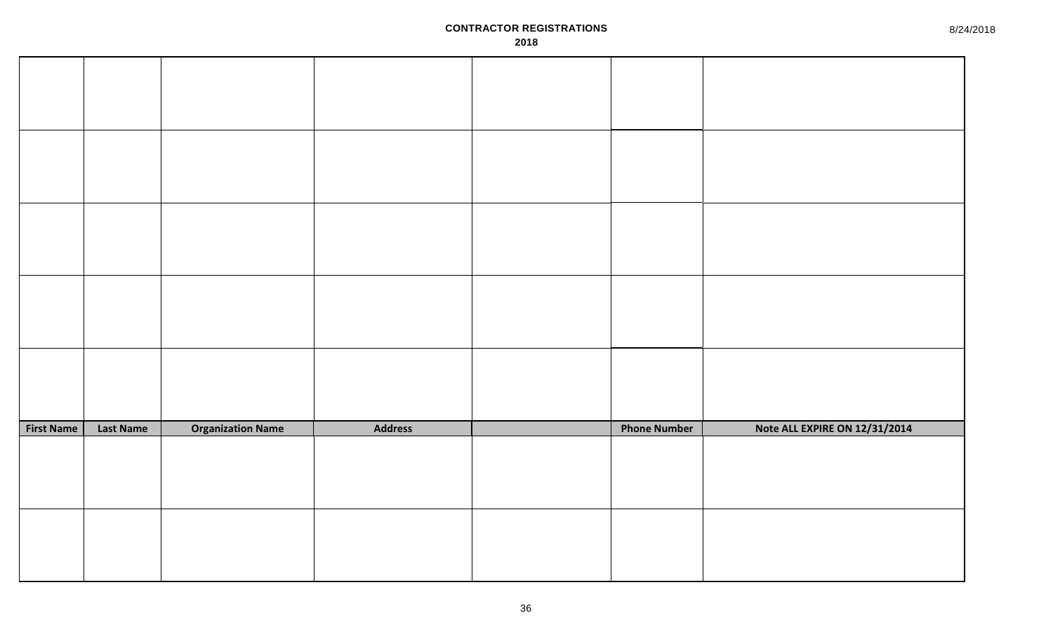| <b>First Name</b> | <b>Last Name</b> | <b>Organization Name</b> | <b>Address</b> | <b>Phone Number</b> | Note ALL EXPIRE ON 12/31/2014 |
|-------------------|------------------|--------------------------|----------------|---------------------|-------------------------------|
|                   |                  |                          |                |                     |                               |
|                   |                  |                          |                |                     |                               |
|                   |                  |                          |                |                     |                               |
|                   |                  |                          |                |                     |                               |
|                   |                  |                          |                |                     |                               |
|                   |                  |                          |                |                     |                               |
|                   |                  |                          |                |                     |                               |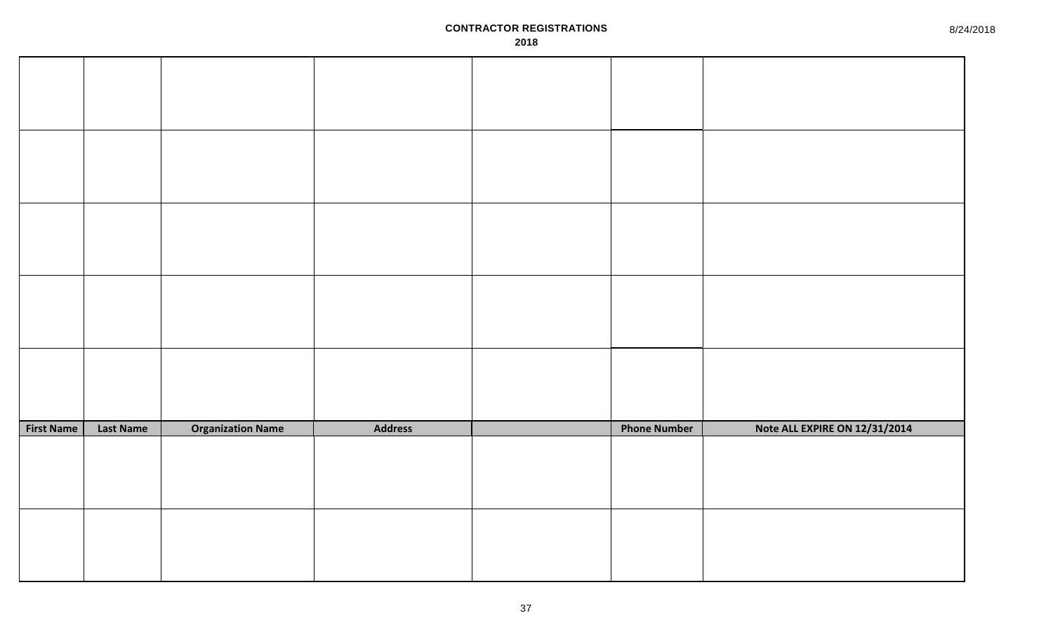| <b>First Name</b> | <b>Last Name</b> | <b>Organization Name</b> | <b>Address</b> | <b>Phone Number</b> | Note ALL EXPIRE ON 12/31/2014 |
|-------------------|------------------|--------------------------|----------------|---------------------|-------------------------------|
|                   |                  |                          |                |                     |                               |
|                   |                  |                          |                |                     |                               |
|                   |                  |                          |                |                     |                               |
|                   |                  |                          |                |                     |                               |
|                   |                  |                          |                |                     |                               |
|                   |                  |                          |                |                     |                               |
|                   |                  |                          |                |                     |                               |